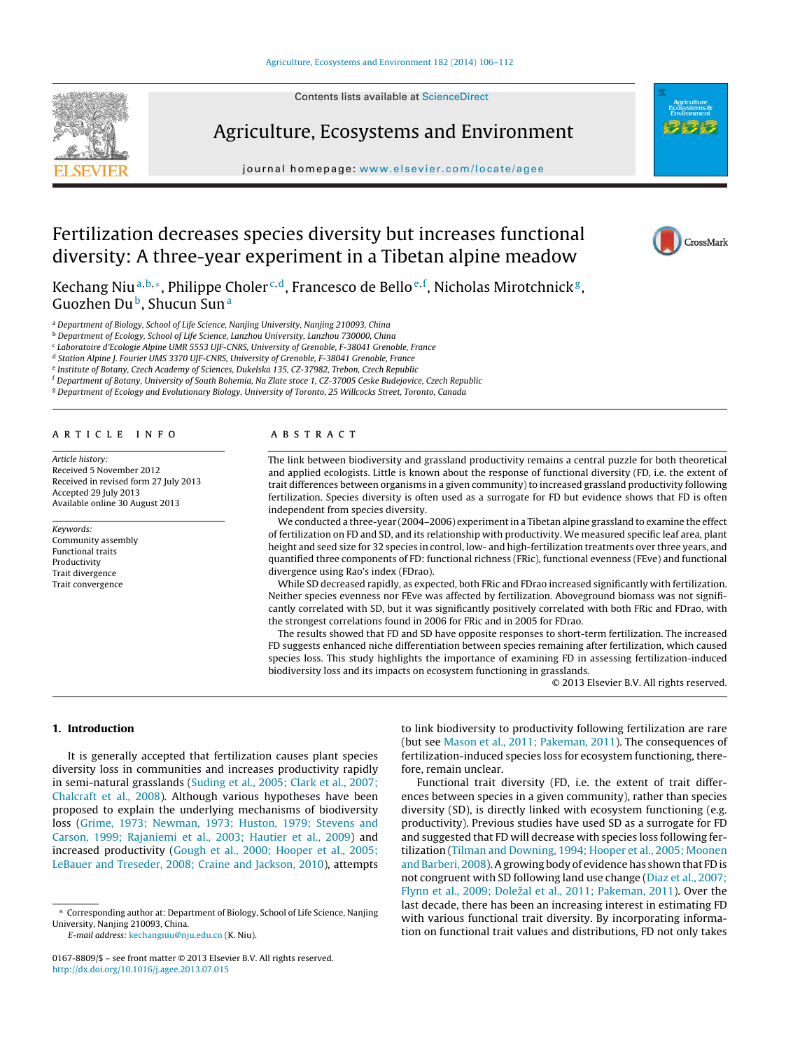Contents lists available at [ScienceDirect](http://www.sciencedirect.com/science/journal/01678809)



Agriculture, Ecosystems and Environment

journal homepage: [www.elsevier.com/locate/agee](http://www.elsevier.com/locate/agee)



CrossMark

# Fertilization decreases species diversity but increases functional diversity: A three-year experiment in a Tibetan alpine meadow

Kechang Niuª<sup>,b,</sup>\*, Philippe Choler<sup>c,d</sup>, Francesco de Bello<sup>e,f</sup>, Nicholas Mirotchnick<sup>g</sup>, Guozhen Du<sup>b</sup>, Shucun Sun<sup>a</sup>

a Department of Biology, School of Life Science, Nanjing University, Nanjing 210093, China

<sup>b</sup> Department of Ecology, School of Life Science, Lanzhou University, Lanzhou 730000, China

<sup>c</sup> Laboratoire d'Ecologie Alpine UMR 5553 UJF-CNRS, University of Grenoble, F-38041 Grenoble, France

<sup>d</sup> Station Alpine J. Fourier UMS 3370 UJF-CNRS, University of Grenoble, F-38041 Grenoble, France

<sup>e</sup> Institute of Botany, Czech Academy of Sciences, Dukelska 135, CZ-37982, Trebon, Czech Republic

<sup>f</sup> Department of Botany, University of South Bohemia, Na Zlate stoce 1, CZ-37005 Ceske Budejovice, Czech Republic

<sup>g</sup> Department of Ecology and Evolutionary Biology, University of Toronto, 25 Willcocks Street, Toronto, Canada

# a r t i c l e i n f o

Article history: Received 5 November 2012 Received in revised form 27 July 2013 Accepted 29 July 2013 Available online 30 August 2013

Keywords: Community assembly Functional traits Productivity Trait divergence Trait convergence

# A B S T R A C T

The link between biodiversity and grassland productivity remains a central puzzle for both theoretical and applied ecologists. Little is known about the response of functional diversity (FD, i.e. the extent of trait differences between organisms in a given community) to increased grassland productivity following fertilization. Species diversity is often used as a surrogate for FD but evidence shows that FD is often independent from species diversity.

We conducted a three-year (2004–2006) experimentin a Tibetan alpine grassland to examine the effect of fertilization on FD and SD, and its relationship with productivity. We measured specific leaf area, plant height and seed size for 32 species in control, low- and high-fertilization treatments over three years, and quantified three components of FD: functional richness (FRic), functional evenness (FEve) and functional divergence using Rao's index (FDrao).

While SD decreased rapidly, as expected, both FRic and FDrao increased significantly with fertilization. Neither species evenness nor FEve was affected by fertilization. Aboveground biomass was not significantly correlated with SD, but it was significantly positively correlated with both FRic and FDrao, with the strongest correlations found in 2006 for FRic and in 2005 for FDrao.

The results showed that FD and SD have opposite responses to short-term fertilization. The increased FD suggests enhanced niche differentiation between species remaining after fertilization, which caused species loss. This study highlights the importance of examining FD in assessing fertilization-induced biodiversity loss and its impacts on ecosystem functioning in grasslands.

© 2013 Elsevier B.V. All rights reserved.

# **1. Introduction**

It is generally accepted that fertilization causes plant species diversity loss in communities and increases productivity rapidly in semi-natural grasslands [\(Suding](#page-6-0) et [al.,](#page-6-0) [2005;](#page-6-0) [Clark](#page-6-0) et [al.,](#page-6-0) [2007;](#page-6-0) [Chalcraft](#page-6-0) et [al.,](#page-6-0) [2008\).](#page-6-0) Although various hypotheses have been proposed to explain the underlying mechanisms of biodiversity loss ([Grime,](#page-6-0) [1973;](#page-6-0) [Newman,](#page-6-0) [1973;](#page-6-0) [Huston,](#page-6-0) [1979;](#page-6-0) [Stevens](#page-6-0) [and](#page-6-0) [Carson,](#page-6-0) [1999;](#page-6-0) [Rajaniemi](#page-6-0) et [al.,](#page-6-0) [2003;](#page-6-0) [Hautier](#page-6-0) et [al.,](#page-6-0) [2009\)](#page-6-0) and increased productivity ([Gough](#page-6-0) et [al.,](#page-6-0) [2000;](#page-6-0) [Hooper](#page-6-0) et [al.,](#page-6-0) [2005;](#page-6-0) [LeBauer](#page-6-0) [and](#page-6-0) [Treseder,](#page-6-0) [2008;](#page-6-0) [Craine](#page-6-0) [and](#page-6-0) [Jackson,](#page-6-0) [2010\),](#page-6-0) attempts

E-mail address: [kechangniu@nju.edu.cn](mailto:kechangniu@nju.edu.cn) (K. Niu).

to link biodiversity to productivity following fertilization are rare (but see [Mason](#page-6-0) et [al.,](#page-6-0) [2011;](#page-6-0) [Pakeman,](#page-6-0) [2011\).](#page-6-0) The consequences of fertilization-induced species loss for ecosystem functioning, therefore, remain unclear.

Functional trait diversity (FD, i.e. the extent of trait differences between species in a given community), rather than species diversity (SD), is directly linked with ecosystem functioning (e.g. productivity). Previous studies have used SD as a surrogate for FD and suggested that FD will decrease with species loss following fertilization [\(Tilman](#page-6-0) [and](#page-6-0) [Downing,](#page-6-0) [1994;](#page-6-0) [Hooper](#page-6-0) et [al.,](#page-6-0) [2005;](#page-6-0) [Moonen](#page-6-0) [and](#page-6-0) [Barberi,](#page-6-0) [2008\).](#page-6-0)Agrowing body of evidence has shown that FD is not congruent with SD following land use change ([Diaz](#page-5-0) et [al.,](#page-5-0) [2007;](#page-5-0) [Flynn](#page-5-0) et [al.,](#page-5-0) [2009;](#page-5-0) Doležal et al., [2011;](#page-5-0) [Pakeman,](#page-5-0) [2011\).](#page-5-0) Over the last decade, there has been an increasing interest in estimating FD with various functional trait diversity. By incorporating information on functional trait values and distributions, FD not only takes

<sup>∗</sup> Corresponding author at: Department of Biology, School of Life Science, Nanjing University, Nanjing 210093, China.

<sup>0167-8809/\$</sup> – see front matter © 2013 Elsevier B.V. All rights reserved. [http://dx.doi.org/10.1016/j.agee.2013.07.015](dx.doi.org/10.1016/j.agee.2013.07.015)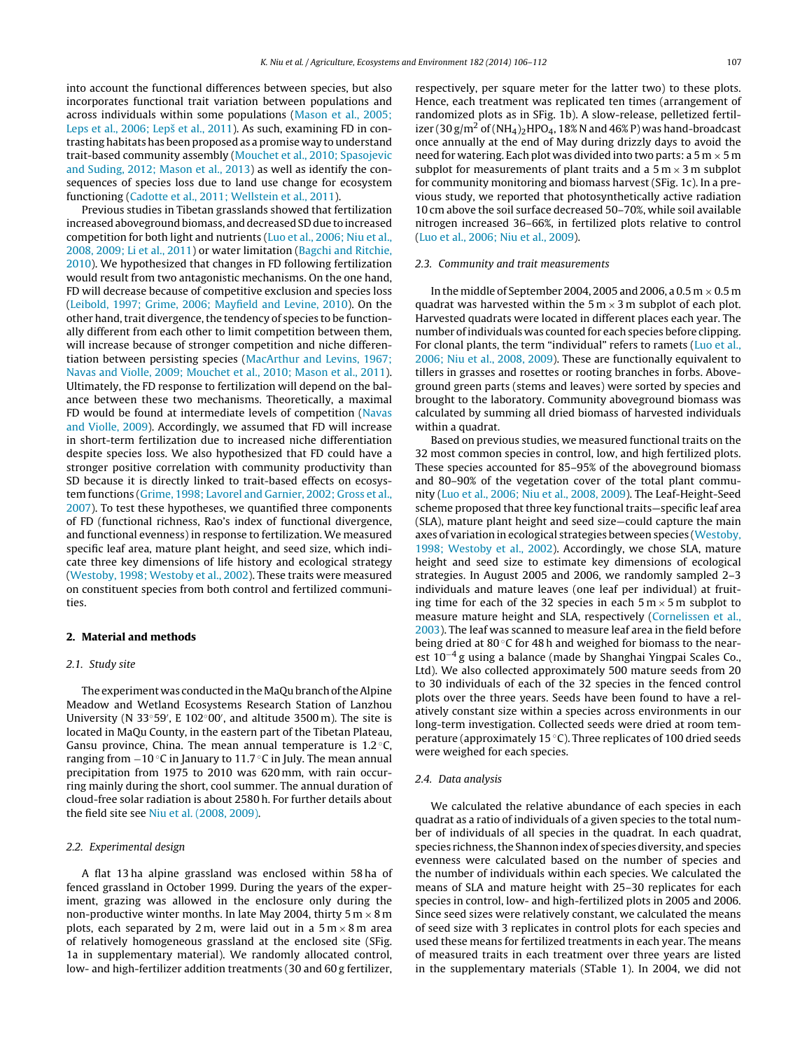into account the functional differences between species, but also incorporates functional trait variation between populations and across individuals within some populations ([Mason](#page-6-0) et [al.,](#page-6-0) [2005;](#page-6-0) [Leps](#page-6-0) et [al.,](#page-6-0) [2006;](#page-6-0) Lepš et al., [2011\).](#page-6-0) As such, examining FD in contrasting habitats has been proposed as a promise way to understand trait-based community assembly ([Mouchet](#page-6-0) et [al.,](#page-6-0) [2010;](#page-6-0) [Spasojevic](#page-6-0) [and](#page-6-0) [Suding,](#page-6-0) [2012;](#page-6-0) [Mason](#page-6-0) et [al.,](#page-6-0) [2013\)](#page-6-0) as well as identify the consequences of species loss due to land use change for ecosystem functioning ([Cadotte](#page-5-0) et [al.,](#page-5-0) [2011;](#page-5-0) [Wellstein](#page-5-0) et [al.,](#page-5-0) [2011\).](#page-5-0)

Previous studies in Tibetan grasslands showed that fertilization increased aboveground biomass, and decreased SD due to increased competition for both light and nutrients [\(Luo](#page-6-0) et [al.,](#page-6-0) [2006;](#page-6-0) [Niu](#page-6-0) et [al.,](#page-6-0) [2008,](#page-6-0) [2009;](#page-6-0) [Li](#page-6-0) et [al.,](#page-6-0) [2011\)](#page-6-0) or water limitation [\(Bagchi](#page-5-0) [and](#page-5-0) [Ritchie,](#page-5-0) [2010\).](#page-5-0) We hypothesized that changes in FD following fertilization would result from two antagonistic mechanisms. On the one hand, FD will decrease because of competitive exclusion and species loss ([Leibold,](#page-6-0) [1997;](#page-6-0) [Grime,](#page-6-0) [2006;](#page-6-0) [Mayfield](#page-6-0) [and](#page-6-0) [Levine,](#page-6-0) [2010\).](#page-6-0) On the other hand, trait divergence, the tendency of species to be functionally different from each other to limit competition between them, will increase because of stronger competition and niche differentiation between persisting species [\(MacArthur](#page-6-0) [and](#page-6-0) [Levins,](#page-6-0) [1967;](#page-6-0) [Navas](#page-6-0) [and](#page-6-0) [Violle,](#page-6-0) [2009;](#page-6-0) [Mouchet](#page-6-0) et [al.,](#page-6-0) [2010;](#page-6-0) [Mason](#page-6-0) et [al.,](#page-6-0) [2011\).](#page-6-0) Ultimately, the FD response to fertilization will depend on the balance between these two mechanisms. Theoretically, a maximal FD would be found at intermediate levels of competition [\(Navas](#page-6-0) [and](#page-6-0) [Violle,](#page-6-0) [2009\).](#page-6-0) Accordingly, we assumed that FD will increase in short-term fertilization due to increased niche differentiation despite species loss. We also hypothesized that FD could have a stronger positive correlation with community productivity than SD because it is directly linked to trait-based effects on ecosystem functions ([Grime,](#page-6-0) [1998;](#page-6-0) [Lavorel](#page-6-0) [and](#page-6-0) [Garnier,](#page-6-0) [2002;](#page-6-0) [Gross](#page-6-0) et [al.,](#page-6-0) [2007\).](#page-6-0) To test these hypotheses, we quantified three components of FD (functional richness, Rao's index of functional divergence, and functional evenness) in response to fertilization. We measured specific leaf area, mature plant height, and seed size, which indicate three key dimensions of life history and ecological strategy ([Westoby,](#page-6-0) [1998;](#page-6-0) [Westoby](#page-6-0) et [al.,](#page-6-0) [2002\).](#page-6-0) These traits were measured on constituent species from both control and fertilized communities.

# **2. Material and methods**

# 2.1. Study site

The experiment was conducted in the MaQu branch of the Alpine Meadow and Wetland Ecosystems Research Station of Lanzhou University (N 33°59', E 102°00', and altitude 3500m). The site is located in MaQu County, in the eastern part of the Tibetan Plateau, Gansu province, China. The mean annual temperature is  $1.2 \degree C$ , ranging from −10 ◦C in January to 11.7 ◦C in July. The mean annual precipitation from 1975 to 2010 was 620 mm, with rain occurring mainly during the short, cool summer. The annual duration of cloud-free solar radiation is about 2580 h. For further details about the field site see [Niu](#page-6-0) et [al.](#page-6-0) [\(2008,](#page-6-0) [2009\).](#page-6-0)

# 2.2. Experimental design

A flat 13 ha alpine grassland was enclosed within 58 ha of fenced grassland in October 1999. During the years of the experiment, grazing was allowed in the enclosure only during the non-productive winter months. In late May 2004, thirty 5 m  $\times$  8 m plots, each separated by 2 m, were laid out in a  $5 \text{ m} \times 8 \text{ m}$  area of relatively homogeneous grassland at the enclosed site (SFig. 1a in supplementary material). We randomly allocated control, low- and high-fertilizer addition treatments (30 and 60 g fertilizer,

respectively, per square meter for the latter two) to these plots. Hence, each treatment was replicated ten times (arrangement of randomized plots as in SFig. 1b). A slow-release, pelletized fertilizer (30 g/m<sup>2</sup> of (NH<sub>4</sub>)<sub>2</sub>HPO<sub>4</sub>, 18% N and 46% P) was hand-broadcast once annually at the end of May during drizzly days to avoid the need for watering. Each plot was divided into two parts: a 5 m  $\times$  5 m subplot for measurements of plant traits and a  $5 \text{ m} \times 3 \text{ m}$  subplot for community monitoring and biomass harvest (SFig. 1c). In a previous study, we reported that photosynthetically active radiation 10 cm above the soil surface decreased 50–70%, while soil available nitrogen increased 36–66%, in fertilized plots relative to control [\(Luo](#page-6-0) et [al.,](#page-6-0) [2006;](#page-6-0) [Niu](#page-6-0) et [al.,](#page-6-0) [2009\).](#page-6-0)

## 2.3. Community and trait measurements

In the middle of September 2004, 2005 and 2006, a 0.5 m  $\times$  0.5 m quadrat was harvested within the  $5 \text{ m} \times 3 \text{ m}$  subplot of each plot. Harvested quadrats were located in different places each year. The number ofindividuals was counted for each species before clipping. For clonal plants, the term "individual" refers to ramets ([Luo](#page-6-0) et [al.,](#page-6-0) [2006;](#page-6-0) [Niu](#page-6-0) et [al.,](#page-6-0) [2008,](#page-6-0) [2009\).](#page-6-0) These are functionally equivalent to tillers in grasses and rosettes or rooting branches in forbs. Aboveground green parts (stems and leaves) were sorted by species and brought to the laboratory. Community aboveground biomass was calculated by summing all dried biomass of harvested individuals within a quadrat.

Based on previous studies, we measured functional traits on the 32 most common species in control, low, and high fertilized plots. These species accounted for 85–95% of the aboveground biomass and 80–90% of the vegetation cover of the total plant community [\(Luo](#page-6-0) et [al.,](#page-6-0) [2006;](#page-6-0) [Niu](#page-6-0) et [al.,](#page-6-0) [2008,](#page-6-0) [2009\).](#page-6-0) The Leaf-Height-Seed scheme proposed that three key functional traits—specific leaf area (SLA), mature plant height and seed size—could capture the main axes of variation in ecological strategies between species ([Westoby,](#page-6-0) [1998;](#page-6-0) [Westoby](#page-6-0) et [al.,](#page-6-0) [2002\).](#page-6-0) Accordingly, we chose SLA, mature height and seed size to estimate key dimensions of ecological strategies. In August 2005 and 2006, we randomly sampled 2–3 individuals and mature leaves (one leaf per individual) at fruiting time for each of the 32 species in each  $5 \text{ m} \times 5 \text{ m}$  subplot to measure mature height and SLA, respectively [\(Cornelissen](#page-5-0) et [al.,](#page-5-0) [2003\).](#page-5-0) The leaf was scanned to measure leaf area in the field before being dried at 80 ℃ for 48 h and weighed for biomass to the nearest 10−<sup>4</sup> g using a balance (made by Shanghai Yingpai Scales Co., Ltd). We also collected approximately 500 mature seeds from 20 to 30 individuals of each of the 32 species in the fenced control plots over the three years. Seeds have been found to have a relatively constant size within a species across environments in our long-term investigation. Collected seeds were dried at room temperature (approximately 15 ◦C). Three replicates of 100 dried seeds were weighed for each species.

# 2.4. Data analysis

We calculated the relative abundance of each species in each quadrat as a ratio of individuals of a given species to the total number of individuals of all species in the quadrat. In each quadrat, species richness, the Shannon index of species diversity, and species evenness were calculated based on the number of species and the number of individuals within each species. We calculated the means of SLA and mature height with 25–30 replicates for each species in control, low- and high-fertilized plots in 2005 and 2006. Since seed sizes were relatively constant, we calculated the means of seed size with 3 replicates in control plots for each species and used these means for fertilized treatments in each year. The means of measured traits in each treatment over three years are listed in the supplementary materials (STable 1). In 2004, we did not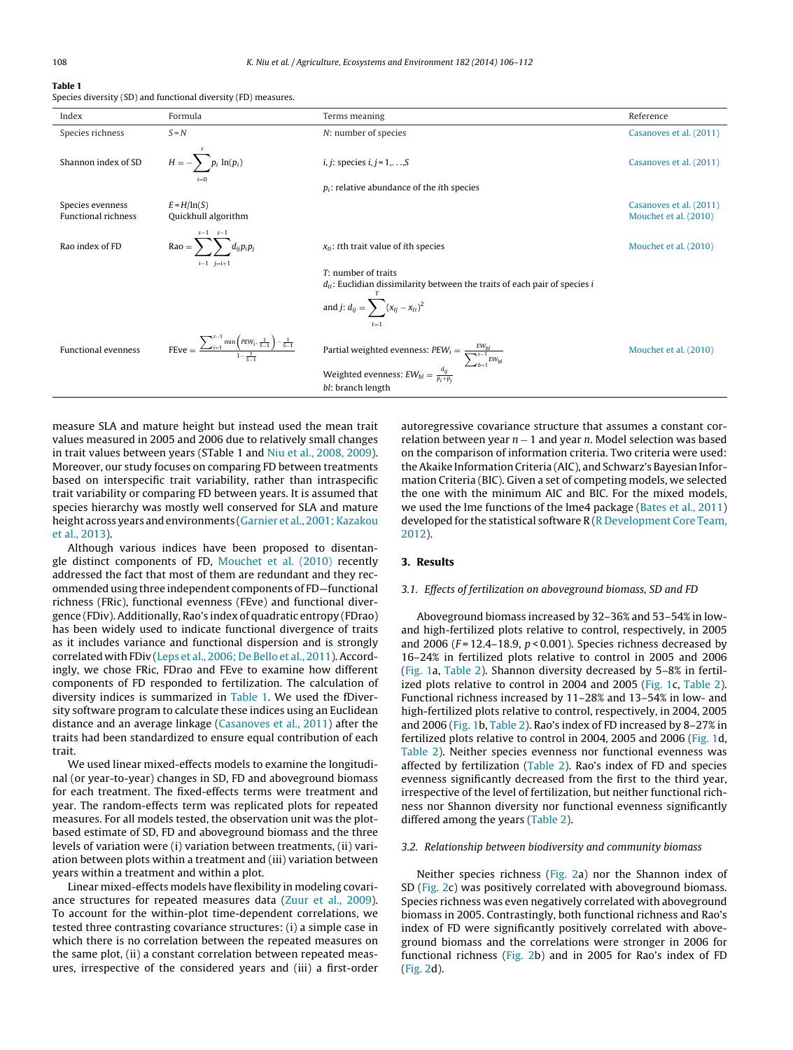| Species diversity (SD) and functional diversity (FD) measures. |  |  |  |  |  |
|----------------------------------------------------------------|--|--|--|--|--|
|----------------------------------------------------------------|--|--|--|--|--|

| Index                                          | Formula                                                                                                     | Terms meaning                                                                                                                                                         | Reference                                        |
|------------------------------------------------|-------------------------------------------------------------------------------------------------------------|-----------------------------------------------------------------------------------------------------------------------------------------------------------------------|--------------------------------------------------|
| Species richness                               | $S = N$                                                                                                     | N: number of species                                                                                                                                                  | Casanoves et al. (2011)                          |
| Shannon index of SD                            | $H = -\sum p_i \ln(p_i)$                                                                                    | <i>i</i> , <i>j</i> : species <i>i</i> , $j = 1, \ldots, S$                                                                                                           | Casanoves et al. (2011)                          |
|                                                |                                                                                                             | $p_i$ : relative abundance of the <i>i</i> th species                                                                                                                 |                                                  |
| Species evenness<br><b>Functional richness</b> | $E = H/ln(S)$<br>Quickhull algorithm                                                                        |                                                                                                                                                                       | Casanoves et al. (2011)<br>Mouchet et al. (2010) |
| Rao index of FD                                | $s - 1$ $s - 1$<br>Rao = $\sum d_{ij}p_ip_j$<br>$i-1$ $j=i+1$                                               | $x_{ti}$ : tth trait value of <i>i</i> th species                                                                                                                     | Mouchet et al. (2010)                            |
|                                                |                                                                                                             | $T:$ number of traits<br>$d_{ti}$ : Euclidian dissimilarity between the traits of each pair of species i                                                              |                                                  |
|                                                |                                                                                                             | and $j$ : $d_{ij} = \sum (x_{tj} - x_{ti})^2$                                                                                                                         |                                                  |
| <b>Functional evenness</b>                     | $\text{FEve} = \frac{\sum_{i=1}^{s-1} \min\left(\text{PEW}_i, \frac{1}{S-1}\right) - \frac{1}{S-1}}{1 - 1}$ | Partial weighted evenness: $PEW_i = \frac{EW_{bl}}{\displaystyle\sum_{b=1}^{s-1} EW_{bl}}$ Weighted evenness: $EW_{bl} = \frac{d_{ij}}{p_i+p_j}$<br>bl: branch length | Mouchet et al. (2010)                            |

measure SLA and mature height but instead used the mean trait values measured in 2005 and 2006 due to relatively small changes in trait values between years (STable 1 and [Niu](#page-6-0) et [al.,](#page-6-0) [2008,](#page-6-0) [2009\).](#page-6-0) Moreover, our study focuses on comparing FD between treatments based on interspecific trait variability, rather than intraspecific trait variability or comparing FD between years. It is assumed that species hierarchy was mostly well conserved for SLA and mature height across years and environments [\(Garnier](#page-6-0) et [al.,](#page-6-0) 2001; Kazakou et [al.,](#page-6-0) [2013\).](#page-6-0)

Although various indices have been proposed to disentangle distinct components of FD, [Mouchet](#page-6-0) et [al.](#page-6-0) [\(2010\)](#page-6-0) recently addressed the fact that most of them are redundant and they recommended using three independent components of FD—functional richness (FRic), functional evenness (FEve) and functional divergence (FDiv). Additionally, Rao's index of quadratic entropy (FDrao) has been widely used to indicate functional divergence of traits as it includes variance and functional dispersion and is strongly correlated with FDiv ([Leps](#page-6-0) et [al.,](#page-6-0) [2006;](#page-6-0) [De](#page-6-0) [Bello](#page-6-0) et al., [2011\).](#page-6-0) Accordingly, we chose FRic, FDrao and FEve to examine how different components of FD responded to fertilization. The calculation of diversity indices is summarized in Table 1. We used the fDiversity software program to calculate these indices using an Euclidean distance and an average linkage ([Casanoves](#page-5-0) et [al.,](#page-5-0) [2011\)](#page-5-0) after the traits had been standardized to ensure equal contribution of each trait.

We used linear mixed-effects models to examine the longitudinal (or year-to-year) changes in SD, FD and aboveground biomass for each treatment. The fixed-effects terms were treatment and year. The random-effects term was replicated plots for repeated measures. For all models tested, the observation unit was the plotbased estimate of SD, FD and aboveground biomass and the three levels of variation were (i) variation between treatments, (ii) variation between plots within a treatment and (iii) variation between years within a treatment and within a plot.

Linear mixed-effects models have flexibility in modeling covariance structures for repeated measures data ([Zuur](#page-6-0) et [al.,](#page-6-0) [2009\).](#page-6-0) To account for the within-plot time-dependent correlations, we tested three contrasting covariance structures: (i) a simple case in which there is no correlation between the repeated measures on the same plot, (ii) a constant correlation between repeated measures, irrespective of the considered years and (iii) a first-order

autoregressive covariance structure that assumes a constant correlation between year  $n - 1$  and year n. Model selection was based on the comparison of information criteria. Two criteria were used: theAkaike Information Criteria (AIC), and Schwarz's Bayesian Information Criteria (BIC). Given a set of competing models, we selected the one with the minimum AIC and BIC. For the mixed models, we used the lme functions of the lme4 package ([Bates](#page-5-0) et [al.,](#page-5-0) [2011\)](#page-5-0) developed for the statistical software  $R(R)$  $R(R)$  [Development](#page-6-0) [Core](#page-6-0) [Team,](#page-6-0) [2012\).](#page-6-0)

# **3. Results**

#### 3.1. Effects of fertilization on aboveground biomass, SD and FD

Aboveground biomass increased by 32–36% and 53–54% in lowand high-fertilized plots relative to control, respectively, in 2005 and 2006 ( $F = 12.4 - 18.9$ ,  $p < 0.001$ ). Species richness decreased by 16–24% in fertilized plots relative to control in 2005 and 2006 [\(Fig.](#page-3-0) 1a, [Table](#page-5-0) 2). Shannon diversity decreased by 5–8% in fertilized plots relative to control in 2004 and 2005 ([Fig.](#page-3-0) 1c, [Table](#page-5-0) 2). Functional richness increased by 11–28% and 13–54% in low- and high-fertilized plots relative to control, respectively, in 2004, 2005 and 2006 ([Fig.](#page-3-0) 1b, [Table](#page-5-0) 2). Rao's index of FD increased by 8–27% in fertilized plots relative to control in 2004, 2005 and 2006 ([Fig.](#page-3-0) 1d, [Table](#page-5-0) 2). Neither species evenness nor functional evenness was affected by fertilization [\(Table](#page-5-0) 2). Rao's index of FD and species evenness significantly decreased from the first to the third year, irrespective of the level of fertilization, but neither functional richness nor Shannon diversity nor functional evenness significantly differed among the years ([Table](#page-5-0) 2).

#### 3.2. Relationship between biodiversity and community biomass

Neither species richness [\(Fig.](#page-4-0) 2a) nor the Shannon index of SD [\(Fig.](#page-4-0) 2c) was positively correlated with aboveground biomass. Species richness was even negatively correlated with aboveground biomass in 2005. Contrastingly, both functional richness and Rao's index of FD were significantly positively correlated with aboveground biomass and the correlations were stronger in 2006 for functional richness ([Fig.](#page-4-0) 2b) and in 2005 for Rao's index of FD [\(Fig.](#page-4-0) 2d).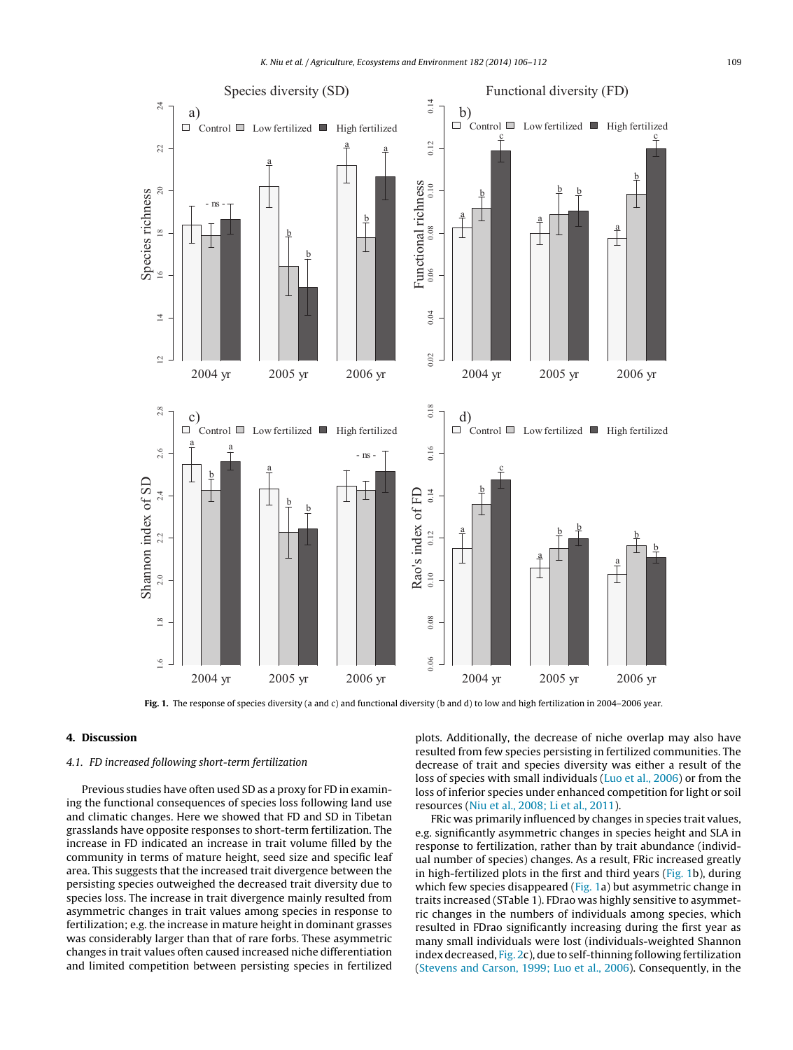<span id="page-3-0"></span>

**Fig. 1.** The response of species diversity (a and c) and functional diversity (b and d) to low and high fertilization in 2004–2006 year.

# **4. Discussion**

# 4.1. FD increased following short-term fertilization

Previous studies have often used SD as a proxy for FD in examining the functional consequences of species loss following land use and climatic changes. Here we showed that FD and SD in Tibetan grasslands have opposite responses to short-term fertilization. The increase in FD indicated an increase in trait volume filled by the community in terms of mature height, seed size and specific leaf area. This suggests that the increased trait divergence between the persisting species outweighed the decreased trait diversity due to species loss. The increase in trait divergence mainly resulted from asymmetric changes in trait values among species in response to fertilization; e.g. the increase in mature height in dominant grasses was considerably larger than that of rare forbs. These asymmetric changes in trait values often caused increased niche differentiation and limited competition between persisting species in fertilized plots. Additionally, the decrease of niche overlap may also have resulted from few species persisting in fertilized communities. The decrease of trait and species diversity was either a result of the loss of species with small individuals [\(Luo](#page-6-0) et [al.,](#page-6-0) [2006\)](#page-6-0) or from the loss of inferior species under enhanced competition for light or soil resources ([Niu](#page-6-0) et [al.,](#page-6-0) [2008;](#page-6-0) [Li](#page-6-0) et [al.,](#page-6-0) [2011\).](#page-6-0)

FRic was primarily influenced by changes in species trait values, e.g. significantly asymmetric changes in species height and SLA in response to fertilization, rather than by trait abundance (individual number of species) changes. As a result, FRic increased greatly in high-fertilized plots in the first and third years (Fig. 1b), during which few species disappeared (Fig. 1a) but asymmetric change in traits increased (STable 1). FDrao was highly sensitive to asymmetric changes in the numbers of individuals among species, which resulted in FDrao significantly increasing during the first year as many small individuals were lost (individuals-weighted Shannon index decreased, [Fig.](#page-4-0) 2c), due to self-thinning following fertilization [\(Stevens](#page-6-0) [and](#page-6-0) [Carson,](#page-6-0) [1999;](#page-6-0) [Luo](#page-6-0) et [al.,](#page-6-0) [2006\).](#page-6-0) Consequently, in the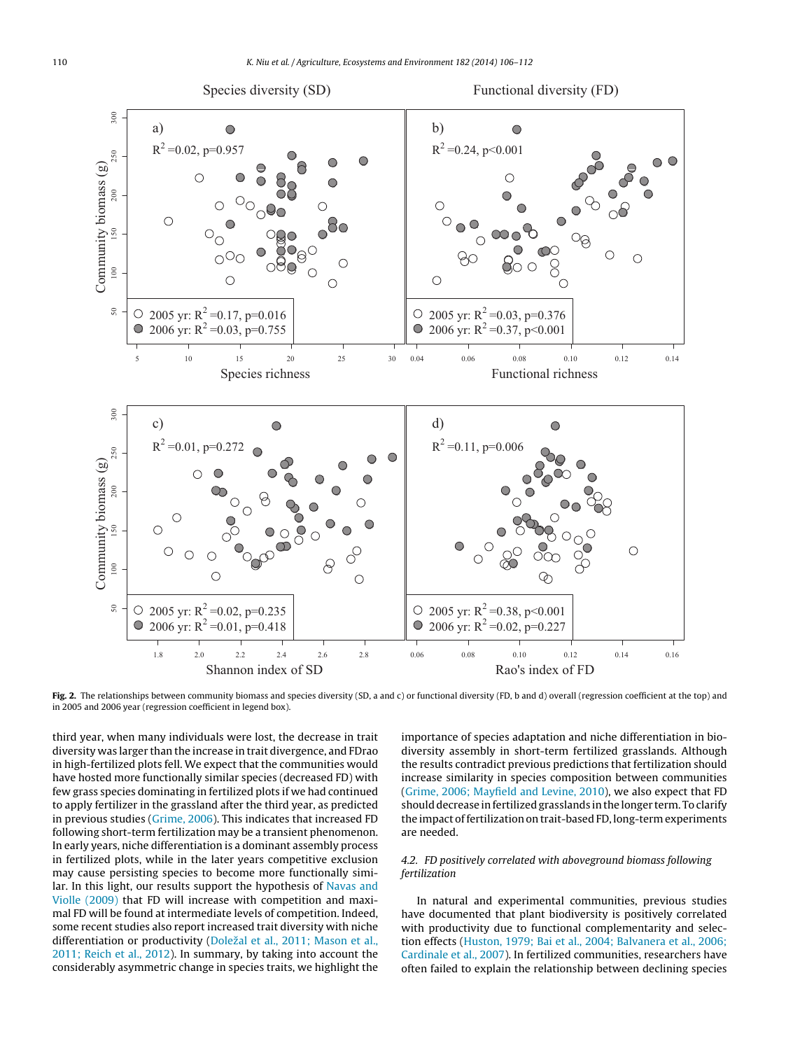<span id="page-4-0"></span>

**Fig. 2.** The relationships between community biomass and species diversity (SD, a and c) or functional diversity (FD, b and d) overall (regression coefficient at the top) and in 2005 and 2006 year (regression coefficient in legend box).

third year, when many individuals were lost, the decrease in trait diversity was larger than the increase in trait divergence, and FDrao in high-fertilized plots fell. We expect that the communities would have hosted more functionally similar species (decreased FD) with few grass species dominating in fertilized plots if we had continued to apply fertilizer in the grassland after the third year, as predicted in previous studies ([Grime,](#page-6-0) [2006\).](#page-6-0) This indicates that increased FD following short-term fertilization may be a transient phenomenon. In early years, niche differentiation is a dominant assembly process in fertilized plots, while in the later years competitive exclusion may cause persisting species to become more functionally similar. In this light, our results support the hypothesis of [Navas](#page-6-0) [and](#page-6-0) [Violle](#page-6-0) [\(2009\)](#page-6-0) that FD will increase with competition and maximal FD will be found at intermediate levels of competition. Indeed, some recent studies also report increased trait diversity with niche differentiation or productivity (Doležal et [al.,](#page-5-0) [2011;](#page-5-0) [Mason](#page-5-0) et al., [2011;](#page-5-0) [Reich](#page-5-0) et [al.,](#page-5-0) [2012\).](#page-5-0) In summary, by taking into account the considerably asymmetric change in species traits, we highlight the

importance of species adaptation and niche differentiation in biodiversity assembly in short-term fertilized grasslands. Although the results contradict previous predictions that fertilization should increase similarity in species composition between communities [\(Grime,](#page-6-0) [2006;](#page-6-0) [Mayfield](#page-6-0) [and](#page-6-0) [Levine,](#page-6-0) [2010\),](#page-6-0) we also expect that FD should decrease in fertilized grasslands in the longer term. To clarify the impact of fertilization on trait-based FD, long-term experiments are needed.

# 4.2. FD positively correlated with aboveground biomass following fertilization

In natural and experimental communities, previous studies have documented that plant biodiversity is positively correlated with productivity due to functional complementarity and selection effects ([Huston,](#page-6-0) [1979;](#page-6-0) [Bai](#page-6-0) et [al.,](#page-6-0) [2004;](#page-6-0) [Balvanera](#page-6-0) et [al.,](#page-6-0) [2006;](#page-6-0) [Cardinale](#page-6-0) et [al.,](#page-6-0) [2007\).](#page-6-0) In fertilized communities, researchers have often failed to explain the relationship between declining species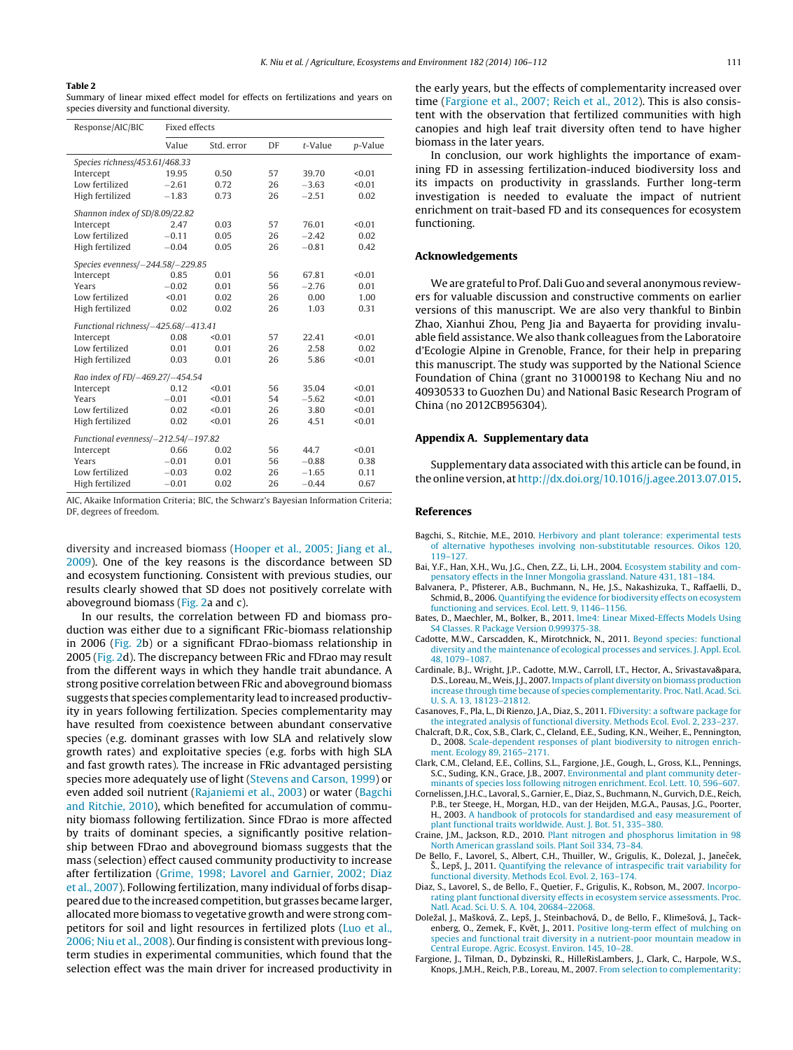#### <span id="page-5-0"></span>**Table 2**

Summary of linear mixed effect model for effects on fertilizations and years on species diversity and functional diversity.

| Response/AIC/BIC                    | <b>Fixed effects</b> |            |    |            |         |  |  |  |
|-------------------------------------|----------------------|------------|----|------------|---------|--|--|--|
|                                     | Value                | Std. error | DF | $t$ -Value | p-Value |  |  |  |
| Species richness/453.61/468.33      |                      |            |    |            |         |  |  |  |
| Intercept                           | 19.95                | 0.50       | 57 | 39.70      | < 0.01  |  |  |  |
| Low fertilized                      | $-2.61$              | 0.72       | 26 | $-3.63$    | < 0.01  |  |  |  |
| High fertilized                     | $-1.83$              | 0.73       | 26 | $-2.51$    | 0.02    |  |  |  |
| Shannon index of SD/8.09/22.82      |                      |            |    |            |         |  |  |  |
| Intercept                           | 2.47                 | 0.03       | 57 | 76.01      | < 0.01  |  |  |  |
| Low fertilized                      | $-0.11$              | 0.05       | 26 | $-2.42$    | 0.02    |  |  |  |
| High fertilized                     | $-0.04$              | 0.05       | 26 | $-0.81$    | 0.42    |  |  |  |
| Species evenness/-244.58/-229.85    |                      |            |    |            |         |  |  |  |
| Intercept                           | 0.85                 | 0.01       | 56 | 67.81      | < 0.01  |  |  |  |
| Years                               | $-0.02$              | 0.01       | 56 | $-2.76$    | 0.01    |  |  |  |
| Low fertilized                      | < 0.01               | 0.02       | 26 | 0.00       | 1.00    |  |  |  |
| High fertilized                     | 0.02                 | 0.02       | 26 | 1.03       | 0.31    |  |  |  |
| Functional richness/-425.68/-413.41 |                      |            |    |            |         |  |  |  |
| Intercept                           | 0.08                 | < 0.01     | 57 | 22.41      | < 0.01  |  |  |  |
| Low fertilized                      | 0.01                 | 0.01       | 26 | 2.58       | 0.02    |  |  |  |
| High fertilized                     | 0.03                 | 0.01       | 26 | 5.86       | < 0.01  |  |  |  |
| Rao index of FD/-469.27/-454.54     |                      |            |    |            |         |  |  |  |
| Intercept                           | 0.12                 | < 0.01     | 56 | 35.04      | < 0.01  |  |  |  |
| Years                               | $-0.01$              | < 0.01     | 54 | $-5.62$    | < 0.01  |  |  |  |
| Low fertilized                      | 0.02                 | < 0.01     | 26 | 3.80       | < 0.01  |  |  |  |
| High fertilized                     | 0.02                 | < 0.01     | 26 | 4.51       | < 0.01  |  |  |  |
| Functional evenness/-212.54/-197.82 |                      |            |    |            |         |  |  |  |
| Intercept                           | 0.66                 | 0.02       | 56 | 44.7       | < 0.01  |  |  |  |
| Years                               | $-0.01$              | 0.01       | 56 | $-0.88$    | 0.38    |  |  |  |
| Low fertilized                      | $-0.03$              | 0.02       | 26 | $-1.65$    | 0.11    |  |  |  |
| High fertilized                     | $-0.01$              | 0.02       | 26 | $-0.44$    | 0.67    |  |  |  |

AIC, Akaike Information Criteria; BIC, the Schwarz's Bayesian Information Criteria; DF, degrees of freedom.

diversity and increased biomass [\(Hooper](#page-6-0) et [al.,](#page-6-0) [2005;](#page-6-0) [Jiang](#page-6-0) et al., [2009\).](#page-6-0) One of the key reasons is the discordance between SD and ecosystem functioning. Consistent with previous studies, our results clearly showed that SD does not positively correlate with aboveground biomass [\(Fig.](#page-4-0) 2a and c).

In our results, the correlation between FD and biomass production was either due to a significant FRic-biomass relationship in 2006 ([Fig.](#page-4-0) 2b) or a significant FDrao-biomass relationship in 2005 ([Fig.](#page-4-0) 2d). The discrepancy between FRic and FDrao may result from the different ways in which they handle trait abundance. A strong positive correlation between FRic and aboveground biomass suggests that species complementarity lead to increased productivity in years following fertilization. Species complementarity may have resulted from coexistence between abundant conservative species (e.g. dominant grasses with low SLA and relatively slow growth rates) and exploitative species (e.g. forbs with high SLA and fast growth rates). The increase in FRic advantaged persisting species more adequately use of light ([Stevens](#page-6-0) [and](#page-6-0) [Carson,](#page-6-0) [1999\)](#page-6-0) or even added soil nutrient [\(Rajaniemi](#page-6-0) et [al.,](#page-6-0) [2003\)](#page-6-0) or water (Bagchi and Ritchie, 2010), which benefited for accumulation of community biomass following fertilization. Since FDrao is more affected by traits of dominant species, a significantly positive relationship between FDrao and aboveground biomass suggests that the mass (selection) effect caused community productivity to increase after fertilization [\(Grime,](#page-6-0) [1998;](#page-6-0) [Lavorel](#page-6-0) [and](#page-6-0) [Garnier,](#page-6-0) [2002;](#page-6-0) [Diaz](#page-6-0) et [al.,](#page-6-0) [2007\).](#page-6-0) Following fertilization, many individual of forbs disappeared due to the increased competition, but grasses became larger, allocated more biomass to vegetative growth and were strong competitors for soil and light resources in fertilized plots [\(Luo](#page-6-0) et [al.,](#page-6-0) [2006;](#page-6-0) [Niu](#page-6-0) et [al.,](#page-6-0) [2008\).](#page-6-0) Our finding is consistent with previous longterm studies in experimental communities, which found that the selection effect was the main driver for increased productivity in

the early years, but the effects of complementarity increased over time (Fargione et al., 2007; Reich et al., 2012). This is also consistent with the observation that fertilized communities with high canopies and high leaf trait diversity often tend to have higher biomass in the later years.

In conclusion, our work highlights the importance of examining FD in assessing fertilization-induced biodiversity loss and its impacts on productivity in grasslands. Further long-term investigation is needed to evaluate the impact of nutrient enrichment on trait-based FD and its consequences for ecosystem functioning.

## **Acknowledgements**

We are grateful to Prof. Dali Guo and several anonymous reviewers for valuable discussion and constructive comments on earlier versions of this manuscript. We are also very thankful to Binbin Zhao, Xianhui Zhou, Peng Jia and Bayaerta for providing invaluable field assistance. We also thank colleagues from the Laboratoire d'Ecologie Alpine in Grenoble, France, for their help in preparing this manuscript. The study was supported by the National Science Foundation of China (grant no 31000198 to Kechang Niu and no 40930533 to Guozhen Du) and National Basic Research Program of China (no 2012CB956304).

# **Appendix A. Supplementary data**

Supplementary data associated with this article can be found, in the online version, at [http://dx.doi.org/10.1016/j.agee.2013.07.015.](http://dx.doi.org/10.1016/j.agee.2013.07.015)

#### **References**

- Bagchi, S., Ritchie, M.E., 2010. [Herbivory](http://refhub.elsevier.com/S0167-8809(13)00251-X/sbref0005) [and](http://refhub.elsevier.com/S0167-8809(13)00251-X/sbref0005) [plant](http://refhub.elsevier.com/S0167-8809(13)00251-X/sbref0005) [tolerance:](http://refhub.elsevier.com/S0167-8809(13)00251-X/sbref0005) [experimental](http://refhub.elsevier.com/S0167-8809(13)00251-X/sbref0005) [tests](http://refhub.elsevier.com/S0167-8809(13)00251-X/sbref0005) [of](http://refhub.elsevier.com/S0167-8809(13)00251-X/sbref0005) [alternative](http://refhub.elsevier.com/S0167-8809(13)00251-X/sbref0005) [hypotheses](http://refhub.elsevier.com/S0167-8809(13)00251-X/sbref0005) [involving](http://refhub.elsevier.com/S0167-8809(13)00251-X/sbref0005) [non-substitutable](http://refhub.elsevier.com/S0167-8809(13)00251-X/sbref0005) [resources.](http://refhub.elsevier.com/S0167-8809(13)00251-X/sbref0005) [Oikos](http://refhub.elsevier.com/S0167-8809(13)00251-X/sbref0005) [120,](http://refhub.elsevier.com/S0167-8809(13)00251-X/sbref0005) [119](http://refhub.elsevier.com/S0167-8809(13)00251-X/sbref0005)–[127.](http://refhub.elsevier.com/S0167-8809(13)00251-X/sbref0005)
- Bai, Y.F., Han, X.H., Wu, J.G., Chen, Z.Z., Li, L.H., 2004. [Ecosystem](http://refhub.elsevier.com/S0167-8809(13)00251-X/sbref0010) [stability](http://refhub.elsevier.com/S0167-8809(13)00251-X/sbref0010) [and](http://refhub.elsevier.com/S0167-8809(13)00251-X/sbref0010) [com](http://refhub.elsevier.com/S0167-8809(13)00251-X/sbref0010)[pensatory](http://refhub.elsevier.com/S0167-8809(13)00251-X/sbref0010) [effects](http://refhub.elsevier.com/S0167-8809(13)00251-X/sbref0010) [in](http://refhub.elsevier.com/S0167-8809(13)00251-X/sbref0010) [the](http://refhub.elsevier.com/S0167-8809(13)00251-X/sbref0010) [Inner](http://refhub.elsevier.com/S0167-8809(13)00251-X/sbref0010) [Mongolia](http://refhub.elsevier.com/S0167-8809(13)00251-X/sbref0010) [grassland.](http://refhub.elsevier.com/S0167-8809(13)00251-X/sbref0010) [Nature](http://refhub.elsevier.com/S0167-8809(13)00251-X/sbref0010) [431,](http://refhub.elsevier.com/S0167-8809(13)00251-X/sbref0010) [181](http://refhub.elsevier.com/S0167-8809(13)00251-X/sbref0010)–[184.](http://refhub.elsevier.com/S0167-8809(13)00251-X/sbref0010)
- Balvanera, P., Pfisterer, A.B., Buchmann, N., He, J.S., Nakashizuka, T., Raffaelli, D., Schmid, B., 2006. [Quantifying](http://refhub.elsevier.com/S0167-8809(13)00251-X/sbref0015) [the](http://refhub.elsevier.com/S0167-8809(13)00251-X/sbref0015) [evidence](http://refhub.elsevier.com/S0167-8809(13)00251-X/sbref0015) [for](http://refhub.elsevier.com/S0167-8809(13)00251-X/sbref0015) [biodiversity](http://refhub.elsevier.com/S0167-8809(13)00251-X/sbref0015) [effects](http://refhub.elsevier.com/S0167-8809(13)00251-X/sbref0015) [on](http://refhub.elsevier.com/S0167-8809(13)00251-X/sbref0015) [ecosystem](http://refhub.elsevier.com/S0167-8809(13)00251-X/sbref0015) [functioning](http://refhub.elsevier.com/S0167-8809(13)00251-X/sbref0015) [and](http://refhub.elsevier.com/S0167-8809(13)00251-X/sbref0015) [services.](http://refhub.elsevier.com/S0167-8809(13)00251-X/sbref0015) [Ecol.](http://refhub.elsevier.com/S0167-8809(13)00251-X/sbref0015) [Lett.](http://refhub.elsevier.com/S0167-8809(13)00251-X/sbref0015) [9,](http://refhub.elsevier.com/S0167-8809(13)00251-X/sbref0015) [1146–1156.](http://refhub.elsevier.com/S0167-8809(13)00251-X/sbref0015)
- Bates, D., Maechler, M., Bolker, B., 2011. [lme4:](http://refhub.elsevier.com/S0167-8809(13)00251-X/sbref0020) [Linear](http://refhub.elsevier.com/S0167-8809(13)00251-X/sbref0020) [Mixed-Effects](http://refhub.elsevier.com/S0167-8809(13)00251-X/sbref0020) [Models](http://refhub.elsevier.com/S0167-8809(13)00251-X/sbref0020) [Using](http://refhub.elsevier.com/S0167-8809(13)00251-X/sbref0020) [S4](http://refhub.elsevier.com/S0167-8809(13)00251-X/sbref0020) [Classes.](http://refhub.elsevier.com/S0167-8809(13)00251-X/sbref0020) [R](http://refhub.elsevier.com/S0167-8809(13)00251-X/sbref0020) [Package](http://refhub.elsevier.com/S0167-8809(13)00251-X/sbref0020) [Version](http://refhub.elsevier.com/S0167-8809(13)00251-X/sbref0020) [0.999375-38.](http://refhub.elsevier.com/S0167-8809(13)00251-X/sbref0020)
- Cadotte, M.W., Carscadden, K., Mirotchnick, N., 2011. [Beyond](http://refhub.elsevier.com/S0167-8809(13)00251-X/sbref0025) [species:](http://refhub.elsevier.com/S0167-8809(13)00251-X/sbref0025) [functional](http://refhub.elsevier.com/S0167-8809(13)00251-X/sbref0025) [diversity](http://refhub.elsevier.com/S0167-8809(13)00251-X/sbref0025) [and](http://refhub.elsevier.com/S0167-8809(13)00251-X/sbref0025) [the](http://refhub.elsevier.com/S0167-8809(13)00251-X/sbref0025) [maintenance](http://refhub.elsevier.com/S0167-8809(13)00251-X/sbref0025) [of](http://refhub.elsevier.com/S0167-8809(13)00251-X/sbref0025) [ecological](http://refhub.elsevier.com/S0167-8809(13)00251-X/sbref0025) [processes](http://refhub.elsevier.com/S0167-8809(13)00251-X/sbref0025) [and](http://refhub.elsevier.com/S0167-8809(13)00251-X/sbref0025) [services.](http://refhub.elsevier.com/S0167-8809(13)00251-X/sbref0025) [J.](http://refhub.elsevier.com/S0167-8809(13)00251-X/sbref0025) [Appl.](http://refhub.elsevier.com/S0167-8809(13)00251-X/sbref0025) [Ecol.](http://refhub.elsevier.com/S0167-8809(13)00251-X/sbref0025) [48,](http://refhub.elsevier.com/S0167-8809(13)00251-X/sbref0025) [1079](http://refhub.elsevier.com/S0167-8809(13)00251-X/sbref0025)–[1087.](http://refhub.elsevier.com/S0167-8809(13)00251-X/sbref0025)
- Cardinale, B.J., Wright, J.P., Cadotte, M.W., Carroll, I.T., Hector, A., Srivastava&para, D.S., Loreau, M.,Weis, J.J., 2007. [Impacts](http://refhub.elsevier.com/S0167-8809(13)00251-X/sbref0030) [of](http://refhub.elsevier.com/S0167-8809(13)00251-X/sbref0030) [plant](http://refhub.elsevier.com/S0167-8809(13)00251-X/sbref0030) [diversity](http://refhub.elsevier.com/S0167-8809(13)00251-X/sbref0030) [on](http://refhub.elsevier.com/S0167-8809(13)00251-X/sbref0030) [biomass](http://refhub.elsevier.com/S0167-8809(13)00251-X/sbref0030) [production](http://refhub.elsevier.com/S0167-8809(13)00251-X/sbref0030) [increase](http://refhub.elsevier.com/S0167-8809(13)00251-X/sbref0030) [through](http://refhub.elsevier.com/S0167-8809(13)00251-X/sbref0030) [time](http://refhub.elsevier.com/S0167-8809(13)00251-X/sbref0030) [because](http://refhub.elsevier.com/S0167-8809(13)00251-X/sbref0030) [of](http://refhub.elsevier.com/S0167-8809(13)00251-X/sbref0030) [species](http://refhub.elsevier.com/S0167-8809(13)00251-X/sbref0030) [complementarity.](http://refhub.elsevier.com/S0167-8809(13)00251-X/sbref0030) [Proc.](http://refhub.elsevier.com/S0167-8809(13)00251-X/sbref0030) [Natl.](http://refhub.elsevier.com/S0167-8809(13)00251-X/sbref0030) [Acad.](http://refhub.elsevier.com/S0167-8809(13)00251-X/sbref0030) [Sci.](http://refhub.elsevier.com/S0167-8809(13)00251-X/sbref0030) [U.](http://refhub.elsevier.com/S0167-8809(13)00251-X/sbref0030) [S.](http://refhub.elsevier.com/S0167-8809(13)00251-X/sbref0030) [A.](http://refhub.elsevier.com/S0167-8809(13)00251-X/sbref0030) [13,](http://refhub.elsevier.com/S0167-8809(13)00251-X/sbref0030) [18123–21812.](http://refhub.elsevier.com/S0167-8809(13)00251-X/sbref0030)
- Casanoves, F., Pla, L., Di Rienzo, J.A., Diaz, S., 2011. [FDiversity:](http://refhub.elsevier.com/S0167-8809(13)00251-X/sbref0035) [a](http://refhub.elsevier.com/S0167-8809(13)00251-X/sbref0035) [software](http://refhub.elsevier.com/S0167-8809(13)00251-X/sbref0035) [package](http://refhub.elsevier.com/S0167-8809(13)00251-X/sbref0035) [for](http://refhub.elsevier.com/S0167-8809(13)00251-X/sbref0035) [the](http://refhub.elsevier.com/S0167-8809(13)00251-X/sbref0035) [integrated](http://refhub.elsevier.com/S0167-8809(13)00251-X/sbref0035) [analysis](http://refhub.elsevier.com/S0167-8809(13)00251-X/sbref0035) [of](http://refhub.elsevier.com/S0167-8809(13)00251-X/sbref0035) [functional](http://refhub.elsevier.com/S0167-8809(13)00251-X/sbref0035) [diversity.](http://refhub.elsevier.com/S0167-8809(13)00251-X/sbref0035) [Methods](http://refhub.elsevier.com/S0167-8809(13)00251-X/sbref0035) [Ecol.](http://refhub.elsevier.com/S0167-8809(13)00251-X/sbref0035) [Evol.](http://refhub.elsevier.com/S0167-8809(13)00251-X/sbref0035) [2,](http://refhub.elsevier.com/S0167-8809(13)00251-X/sbref0035) [233–237.](http://refhub.elsevier.com/S0167-8809(13)00251-X/sbref0035)
- Chalcraft, D.R., Cox, S.B., Clark, C., Cleland, E.E., Suding, K.N., Weiher, E., Pennington, D., 2008. [Scale-dependent](http://refhub.elsevier.com/S0167-8809(13)00251-X/sbref0040) [responses](http://refhub.elsevier.com/S0167-8809(13)00251-X/sbref0040) [of](http://refhub.elsevier.com/S0167-8809(13)00251-X/sbref0040) [plant](http://refhub.elsevier.com/S0167-8809(13)00251-X/sbref0040) [biodiversity](http://refhub.elsevier.com/S0167-8809(13)00251-X/sbref0040) [to](http://refhub.elsevier.com/S0167-8809(13)00251-X/sbref0040) [nitrogen](http://refhub.elsevier.com/S0167-8809(13)00251-X/sbref0040) [enrich](http://refhub.elsevier.com/S0167-8809(13)00251-X/sbref0040)[ment.](http://refhub.elsevier.com/S0167-8809(13)00251-X/sbref0040) [Ecology](http://refhub.elsevier.com/S0167-8809(13)00251-X/sbref0040) [89,](http://refhub.elsevier.com/S0167-8809(13)00251-X/sbref0040) [2165–2171.](http://refhub.elsevier.com/S0167-8809(13)00251-X/sbref0040)
- Clark, C.M., Cleland, E.E., Collins, S.L., Fargione, J.E., Gough, L., Gross, K.L., Pennings, S.C., Suding, K.N., Grace, J.B., 2007. [Environmental](http://refhub.elsevier.com/S0167-8809(13)00251-X/sbref0045) [and](http://refhub.elsevier.com/S0167-8809(13)00251-X/sbref0045) [plant](http://refhub.elsevier.com/S0167-8809(13)00251-X/sbref0045) [community](http://refhub.elsevier.com/S0167-8809(13)00251-X/sbref0045) [deter](http://refhub.elsevier.com/S0167-8809(13)00251-X/sbref0045)[minants](http://refhub.elsevier.com/S0167-8809(13)00251-X/sbref0045) [of](http://refhub.elsevier.com/S0167-8809(13)00251-X/sbref0045) [species](http://refhub.elsevier.com/S0167-8809(13)00251-X/sbref0045) [loss](http://refhub.elsevier.com/S0167-8809(13)00251-X/sbref0045) [following](http://refhub.elsevier.com/S0167-8809(13)00251-X/sbref0045) [nitrogen](http://refhub.elsevier.com/S0167-8809(13)00251-X/sbref0045) [enrichment.](http://refhub.elsevier.com/S0167-8809(13)00251-X/sbref0045) [Ecol.](http://refhub.elsevier.com/S0167-8809(13)00251-X/sbref0045) [Lett.](http://refhub.elsevier.com/S0167-8809(13)00251-X/sbref0045) [10,](http://refhub.elsevier.com/S0167-8809(13)00251-X/sbref0045) [596–607.](http://refhub.elsevier.com/S0167-8809(13)00251-X/sbref0045)
- Cornelissen, J.H.C., Lavoral, S., Garnier, E., Diaz, S., Buchmann, N., Gurvich, D.E., Reich, P.B., ter Steege, H., Morgan, H.D., van der Heijden, M.G.A., Pausas, J.G., Poorter, H., 2003. [A](http://refhub.elsevier.com/S0167-8809(13)00251-X/sbref0050) [handbook](http://refhub.elsevier.com/S0167-8809(13)00251-X/sbref0050) [of](http://refhub.elsevier.com/S0167-8809(13)00251-X/sbref0050) [protocols](http://refhub.elsevier.com/S0167-8809(13)00251-X/sbref0050) [for](http://refhub.elsevier.com/S0167-8809(13)00251-X/sbref0050) [standardised](http://refhub.elsevier.com/S0167-8809(13)00251-X/sbref0050) [and](http://refhub.elsevier.com/S0167-8809(13)00251-X/sbref0050) [easy](http://refhub.elsevier.com/S0167-8809(13)00251-X/sbref0050) [measurement](http://refhub.elsevier.com/S0167-8809(13)00251-X/sbref0050) [of](http://refhub.elsevier.com/S0167-8809(13)00251-X/sbref0050) [plant](http://refhub.elsevier.com/S0167-8809(13)00251-X/sbref0050) [functional](http://refhub.elsevier.com/S0167-8809(13)00251-X/sbref0050) [traits](http://refhub.elsevier.com/S0167-8809(13)00251-X/sbref0050) [worldwide.](http://refhub.elsevier.com/S0167-8809(13)00251-X/sbref0050) [Aust.](http://refhub.elsevier.com/S0167-8809(13)00251-X/sbref0050) [J.](http://refhub.elsevier.com/S0167-8809(13)00251-X/sbref0050) [Bot.](http://refhub.elsevier.com/S0167-8809(13)00251-X/sbref0050) [51,](http://refhub.elsevier.com/S0167-8809(13)00251-X/sbref0050) [335–380.](http://refhub.elsevier.com/S0167-8809(13)00251-X/sbref0050)
- Craine, J.M., Jackson, R.D., 2010. [Plant](http://refhub.elsevier.com/S0167-8809(13)00251-X/sbref0055) [nitrogen](http://refhub.elsevier.com/S0167-8809(13)00251-X/sbref0055) [and](http://refhub.elsevier.com/S0167-8809(13)00251-X/sbref0055) [phosphorus](http://refhub.elsevier.com/S0167-8809(13)00251-X/sbref0055) [limitation](http://refhub.elsevier.com/S0167-8809(13)00251-X/sbref0055) [in](http://refhub.elsevier.com/S0167-8809(13)00251-X/sbref0055) [98](http://refhub.elsevier.com/S0167-8809(13)00251-X/sbref0055) [North](http://refhub.elsevier.com/S0167-8809(13)00251-X/sbref0055) [American](http://refhub.elsevier.com/S0167-8809(13)00251-X/sbref0055) [grassland](http://refhub.elsevier.com/S0167-8809(13)00251-X/sbref0055) [soils.](http://refhub.elsevier.com/S0167-8809(13)00251-X/sbref0055) [Plant](http://refhub.elsevier.com/S0167-8809(13)00251-X/sbref0055) [Soil](http://refhub.elsevier.com/S0167-8809(13)00251-X/sbref0055) [334,](http://refhub.elsevier.com/S0167-8809(13)00251-X/sbref0055) [73–84.](http://refhub.elsevier.com/S0167-8809(13)00251-X/sbref0055)
- De Bello, F., Lavorel, S., Albert, C.H., Thuiller, W., Grigulis, K., Dolezal, J., Janeček, Š., Lepš, J., 2011. [Quantifying](http://refhub.elsevier.com/S0167-8809(13)00251-X/sbref0060) [the](http://refhub.elsevier.com/S0167-8809(13)00251-X/sbref0060) [relevance](http://refhub.elsevier.com/S0167-8809(13)00251-X/sbref0060) [of](http://refhub.elsevier.com/S0167-8809(13)00251-X/sbref0060) [intraspecific](http://refhub.elsevier.com/S0167-8809(13)00251-X/sbref0060) [trait](http://refhub.elsevier.com/S0167-8809(13)00251-X/sbref0060) [variability](http://refhub.elsevier.com/S0167-8809(13)00251-X/sbref0060) [for](http://refhub.elsevier.com/S0167-8809(13)00251-X/sbref0060) [functional](http://refhub.elsevier.com/S0167-8809(13)00251-X/sbref0060) [diversity.](http://refhub.elsevier.com/S0167-8809(13)00251-X/sbref0060) [Methods](http://refhub.elsevier.com/S0167-8809(13)00251-X/sbref0060) [Ecol.](http://refhub.elsevier.com/S0167-8809(13)00251-X/sbref0060) [Evol.](http://refhub.elsevier.com/S0167-8809(13)00251-X/sbref0060) [2,](http://refhub.elsevier.com/S0167-8809(13)00251-X/sbref0060) [163](http://refhub.elsevier.com/S0167-8809(13)00251-X/sbref0060)–[174.](http://refhub.elsevier.com/S0167-8809(13)00251-X/sbref0060)
- Diaz, S., Lavorel, S., de Bello, F., Quetier, F., Grigulis, K., Robson, M., 2007. [Incorpo](http://refhub.elsevier.com/S0167-8809(13)00251-X/sbref0065)[rating](http://refhub.elsevier.com/S0167-8809(13)00251-X/sbref0065) [plant](http://refhub.elsevier.com/S0167-8809(13)00251-X/sbref0065) [functional](http://refhub.elsevier.com/S0167-8809(13)00251-X/sbref0065) [diversity](http://refhub.elsevier.com/S0167-8809(13)00251-X/sbref0065) [effects](http://refhub.elsevier.com/S0167-8809(13)00251-X/sbref0065) [in](http://refhub.elsevier.com/S0167-8809(13)00251-X/sbref0065) [ecosystem](http://refhub.elsevier.com/S0167-8809(13)00251-X/sbref0065) [service](http://refhub.elsevier.com/S0167-8809(13)00251-X/sbref0065) [assessments.](http://refhub.elsevier.com/S0167-8809(13)00251-X/sbref0065) [Proc.](http://refhub.elsevier.com/S0167-8809(13)00251-X/sbref0065) [Natl.](http://refhub.elsevier.com/S0167-8809(13)00251-X/sbref0065) [Acad.](http://refhub.elsevier.com/S0167-8809(13)00251-X/sbref0065) [Sci.](http://refhub.elsevier.com/S0167-8809(13)00251-X/sbref0065) [U.](http://refhub.elsevier.com/S0167-8809(13)00251-X/sbref0065) [S.](http://refhub.elsevier.com/S0167-8809(13)00251-X/sbref0065) [A.](http://refhub.elsevier.com/S0167-8809(13)00251-X/sbref0065) [104,](http://refhub.elsevier.com/S0167-8809(13)00251-X/sbref0065) [20684–22068.](http://refhub.elsevier.com/S0167-8809(13)00251-X/sbref0065)
- Doležal, J., Mašková, Z., Lepš, J., Steinbachová, D., de Bello, F., Klimešová, J., Tack-enberg, O., Zemek, F., Květ, J., 2011. [Positive](http://refhub.elsevier.com/S0167-8809(13)00251-X/sbref0070) [long-term](http://refhub.elsevier.com/S0167-8809(13)00251-X/sbref0070) [effect](http://refhub.elsevier.com/S0167-8809(13)00251-X/sbref0070) [of](http://refhub.elsevier.com/S0167-8809(13)00251-X/sbref0070) [mulching](http://refhub.elsevier.com/S0167-8809(13)00251-X/sbref0070) [on](http://refhub.elsevier.com/S0167-8809(13)00251-X/sbref0070) [species](http://refhub.elsevier.com/S0167-8809(13)00251-X/sbref0070) [and](http://refhub.elsevier.com/S0167-8809(13)00251-X/sbref0070) [functional](http://refhub.elsevier.com/S0167-8809(13)00251-X/sbref0070) [trait](http://refhub.elsevier.com/S0167-8809(13)00251-X/sbref0070) [diversity](http://refhub.elsevier.com/S0167-8809(13)00251-X/sbref0070) [in](http://refhub.elsevier.com/S0167-8809(13)00251-X/sbref0070) [a](http://refhub.elsevier.com/S0167-8809(13)00251-X/sbref0070) [nutrient-poor](http://refhub.elsevier.com/S0167-8809(13)00251-X/sbref0070) [mountain](http://refhub.elsevier.com/S0167-8809(13)00251-X/sbref0070) [meadow](http://refhub.elsevier.com/S0167-8809(13)00251-X/sbref0070) [in](http://refhub.elsevier.com/S0167-8809(13)00251-X/sbref0070) [Central](http://refhub.elsevier.com/S0167-8809(13)00251-X/sbref0070) [Europe.](http://refhub.elsevier.com/S0167-8809(13)00251-X/sbref0070) [Agric.](http://refhub.elsevier.com/S0167-8809(13)00251-X/sbref0070) [Ecosyst.](http://refhub.elsevier.com/S0167-8809(13)00251-X/sbref0070) [Environ.](http://refhub.elsevier.com/S0167-8809(13)00251-X/sbref0070) [145,](http://refhub.elsevier.com/S0167-8809(13)00251-X/sbref0070) [10–28.](http://refhub.elsevier.com/S0167-8809(13)00251-X/sbref0070)
- Fargione, J., Tilman, D., Dybzinski, R., HilleRisLambers, J., Clark, C., Harpole, W.S., Knops, J.M.H., Reich, P.B., Loreau, M., 2007. [From](http://refhub.elsevier.com/S0167-8809(13)00251-X/sbref0075) [selection](http://refhub.elsevier.com/S0167-8809(13)00251-X/sbref0075) [to](http://refhub.elsevier.com/S0167-8809(13)00251-X/sbref0075) [complementarity:](http://refhub.elsevier.com/S0167-8809(13)00251-X/sbref0075)